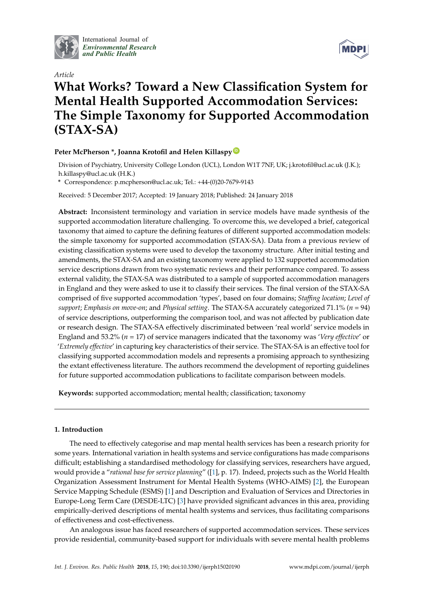

International Journal of *[Environmental Research](http://www.mdpi.com/journal/ijerph) and Public Health*



# *Article* **What Works? Toward a New Classification System for Mental Health Supported Accommodation Services: The Simple Taxonomy for Supported Accommodation (STAX-SA)**

# **Peter McPherson \*, Joanna Krotofil and Helen Killaspy [ID](https://orcid.org/0000-0003-2481-4802)**

Division of Psychiatry, University College London (UCL), London W1T 7NF, UK; j.krotofil@ucl.ac.uk (J.K.); h.killaspy@ucl.ac.uk (H.K.)

**\*** Correspondence: p.mcpherson@ucl.ac.uk; Tel.: +44-(0)20-7679-9143

Received: 5 December 2017; Accepted: 19 January 2018; Published: 24 January 2018

**Abstract:** Inconsistent terminology and variation in service models have made synthesis of the supported accommodation literature challenging. To overcome this, we developed a brief, categorical taxonomy that aimed to capture the defining features of different supported accommodation models: the simple taxonomy for supported accommodation (STAX-SA). Data from a previous review of existing classification systems were used to develop the taxonomy structure. After initial testing and amendments, the STAX-SA and an existing taxonomy were applied to 132 supported accommodation service descriptions drawn from two systematic reviews and their performance compared. To assess external validity, the STAX-SA was distributed to a sample of supported accommodation managers in England and they were asked to use it to classify their services. The final version of the STAX-SA comprised of five supported accommodation 'types', based on four domains; *Staffing location*; *Level of support*; *Emphasis on move-on*; and *Physical setting*. The STAX-SA accurately categorized 71.1% (*n* = 94) of service descriptions, outperforming the comparison tool, and was not affected by publication date or research design. The STAX-SA effectively discriminated between 'real world' service models in England and 53.2% (*n* = 17) of service managers indicated that the taxonomy was '*Very effective*' or '*Extremely effective*' in capturing key characteristics of their service. The STAX-SA is an effective tool for classifying supported accommodation models and represents a promising approach to synthesizing the extant effectiveness literature. The authors recommend the development of reporting guidelines for future supported accommodation publications to facilitate comparison between models.

**Keywords:** supported accommodation; mental health; classification; taxonomy

# **1. Introduction**

The need to effectively categorise and map mental health services has been a research priority for some years. International variation in health systems and service configurations has made comparisons difficult; establishing a standardised methodology for classifying services, researchers have argued, would provide a "*rational base for service planning*" ([\[1\]](#page-10-0), p. 17). Indeed, projects such as the World Health Organization Assessment Instrument for Mental Health Systems (WHO-AIMS) [\[2\]](#page-10-1), the European Service Mapping Schedule (ESMS) [\[1\]](#page-10-0) and Description and Evaluation of Services and Directories in Europe-Long Term Care (DESDE-LTC) [\[3\]](#page-10-2) have provided significant advances in this area, providing empirically-derived descriptions of mental health systems and services, thus facilitating comparisons of effectiveness and cost-effectiveness.

An analogous issue has faced researchers of supported accommodation services. These services provide residential, community-based support for individuals with severe mental health problems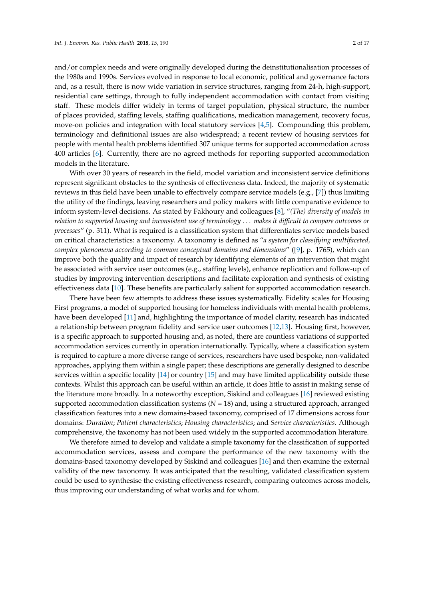and/or complex needs and were originally developed during the deinstitutionalisation processes of the 1980s and 1990s. Services evolved in response to local economic, political and governance factors and, as a result, there is now wide variation in service structures, ranging from 24-h, high-support, residential care settings, through to fully independent accommodation with contact from visiting staff. These models differ widely in terms of target population, physical structure, the number of places provided, staffing levels, staffing qualifications, medication management, recovery focus, move-on policies and integration with local statutory services [\[4](#page-10-3)[,5\]](#page-10-4). Compounding this problem, terminology and definitional issues are also widespread; a recent review of housing services for people with mental health problems identified 307 unique terms for supported accommodation across 400 articles [\[6\]](#page-10-5). Currently, there are no agreed methods for reporting supported accommodation models in the literature.

With over 30 years of research in the field, model variation and inconsistent service definitions represent significant obstacles to the synthesis of effectiveness data. Indeed, the majority of systematic reviews in this field have been unable to effectively compare service models (e.g., [\[7\]](#page-10-6)) thus limiting the utility of the findings, leaving researchers and policy makers with little comparative evidence to inform system-level decisions. As stated by Fakhoury and colleagues [\[8\]](#page-10-7), "*(The) diversity of models in relation to supported housing and inconsistent use of terminology* . . . *makes it difficult to compare outcomes or processes*" (p. 311). What is required is a classification system that differentiates service models based on critical characteristics: a taxonomy. A taxonomy is defined as "*a system for classifying multifaceted, complex phenomena according to common conceptual domains and dimensions*" ([\[9\]](#page-10-8), p. 1765), which can improve both the quality and impact of research by identifying elements of an intervention that might be associated with service user outcomes (e.g., staffing levels), enhance replication and follow-up of studies by improving intervention descriptions and facilitate exploration and synthesis of existing effectiveness data [\[10\]](#page-10-9). These benefits are particularly salient for supported accommodation research.

There have been few attempts to address these issues systematically. Fidelity scales for Housing First programs, a model of supported housing for homeless individuals with mental health problems, have been developed [\[11\]](#page-11-0) and, highlighting the importance of model clarity, research has indicated a relationship between program fidelity and service user outcomes [\[12](#page-11-1)[,13\]](#page-11-2). Housing first, however, is a specific approach to supported housing and, as noted, there are countless variations of supported accommodation services currently in operation internationally. Typically, where a classification system is required to capture a more diverse range of services, researchers have used bespoke, non-validated approaches, applying them within a single paper; these descriptions are generally designed to describe services within a specific locality [\[14\]](#page-11-3) or country [\[15\]](#page-11-4) and may have limited applicability outside these contexts. Whilst this approach can be useful within an article, it does little to assist in making sense of the literature more broadly. In a noteworthy exception, Siskind and colleagues [\[16\]](#page-11-5) reviewed existing supported accommodation classification systems (*N* = 18) and, using a structured approach, arranged classification features into a new domains-based taxonomy, comprised of 17 dimensions across four domains: *Duration*; *Patient characteristics*; *Housing characteristics*; and *Service characteristics*. Although comprehensive, the taxonomy has not been used widely in the supported accommodation literature.

We therefore aimed to develop and validate a simple taxonomy for the classification of supported accommodation services, assess and compare the performance of the new taxonomy with the domains-based taxonomy developed by Siskind and colleagues [\[16\]](#page-11-5) and then examine the external validity of the new taxonomy. It was anticipated that the resulting, validated classification system could be used to synthesise the existing effectiveness research, comparing outcomes across models, thus improving our understanding of what works and for whom.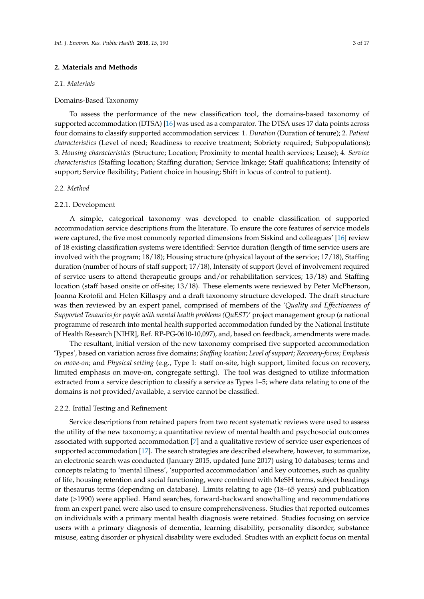## **2. Materials and Methods**

#### *2.1. Materials*

## Domains-Based Taxonomy

To assess the performance of the new classification tool, the domains-based taxonomy of supported accommodation (DTSA) [\[16\]](#page-11-5) was used as a comparator. The DTSA uses 17 data points across four domains to classify supported accommodation services: 1. *Duration* (Duration of tenure); 2. *Patient characteristics* (Level of need; Readiness to receive treatment; Sobriety required; Subpopulations); 3. *Housing characteristics* (Structure; Location; Proximity to mental health services; Lease); 4. *Service characteristics* (Staffing location; Staffing duration; Service linkage; Staff qualifications; Intensity of support; Service flexibility; Patient choice in housing; Shift in locus of control to patient).

#### *2.2. Method*

#### 2.2.1. Development

A simple, categorical taxonomy was developed to enable classification of supported accommodation service descriptions from the literature. To ensure the core features of service models were captured, the five most commonly reported dimensions from Siskind and colleagues' [\[16\]](#page-11-5) review of 18 existing classification systems were identified: Service duration (length of time service users are involved with the program; 18/18); Housing structure (physical layout of the service; 17/18), Staffing duration (number of hours of staff support; 17/18), Intensity of support (level of involvement required of service users to attend therapeutic groups and/or rehabilitation services; 13/18) and Staffing location (staff based onsite or off-site; 13/18). These elements were reviewed by Peter McPherson, Joanna Krotofil and Helen Killaspy and a draft taxonomy structure developed. The draft structure was then reviewed by an expert panel, comprised of members of the '*Quality and Effectiveness of Supported Tenancies for people with mental health problems (QuEST)*' project management group (a national programme of research into mental health supported accommodation funded by the National Institute of Health Research [NIHR], Ref. RP-PG-0610-10,097), and, based on feedback, amendments were made.

The resultant, initial version of the new taxonomy comprised five supported accommodation 'Types', based on variation across five domains; *Staffing location*; *Level of support*; *Recovery-focus*; *Emphasis on move-on*; and *Physical setting* (e.g., Type 1: staff on-site, high support, limited focus on recovery, limited emphasis on move-on, congregate setting). The tool was designed to utilize information extracted from a service description to classify a service as Types 1–5; where data relating to one of the domains is not provided/available, a service cannot be classified.

#### 2.2.2. Initial Testing and Refinement

Service descriptions from retained papers from two recent systematic reviews were used to assess the utility of the new taxonomy; a quantitative review of mental health and psychosocial outcomes associated with supported accommodation [\[7\]](#page-10-6) and a qualitative review of service user experiences of supported accommodation [\[17\]](#page-11-6). The search strategies are described elsewhere, however, to summarize, an electronic search was conducted (January 2015, updated June 2017) using 10 databases; terms and concepts relating to 'mental illness', 'supported accommodation' and key outcomes, such as quality of life, housing retention and social functioning, were combined with MeSH terms, subject headings or thesaurus terms (depending on database). Limits relating to age (18–65 years) and publication date (>1990) were applied. Hand searches, forward-backward snowballing and recommendations from an expert panel were also used to ensure comprehensiveness. Studies that reported outcomes on individuals with a primary mental health diagnosis were retained. Studies focusing on service users with a primary diagnosis of dementia, learning disability, personality disorder, substance misuse, eating disorder or physical disability were excluded. Studies with an explicit focus on mental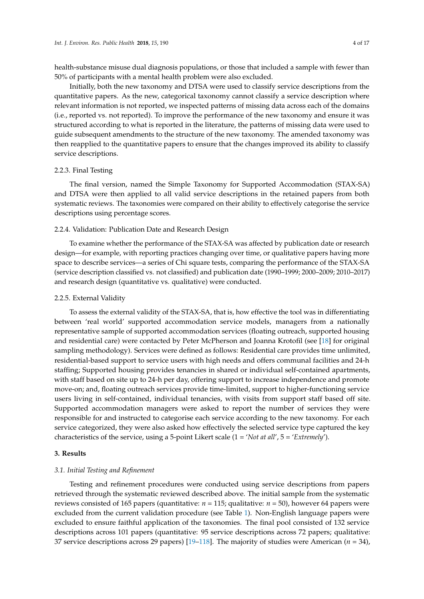health-substance misuse dual diagnosis populations, or those that included a sample with fewer than 50% of participants with a mental health problem were also excluded.

Initially, both the new taxonomy and DTSA were used to classify service descriptions from the quantitative papers. As the new, categorical taxonomy cannot classify a service description where relevant information is not reported, we inspected patterns of missing data across each of the domains (i.e., reported vs. not reported). To improve the performance of the new taxonomy and ensure it was structured according to what is reported in the literature, the patterns of missing data were used to guide subsequent amendments to the structure of the new taxonomy. The amended taxonomy was then reapplied to the quantitative papers to ensure that the changes improved its ability to classify service descriptions.

#### 2.2.3. Final Testing

The final version, named the Simple Taxonomy for Supported Accommodation (STAX-SA) and DTSA were then applied to all valid service descriptions in the retained papers from both systematic reviews. The taxonomies were compared on their ability to effectively categorise the service descriptions using percentage scores.

## 2.2.4. Validation: Publication Date and Research Design

To examine whether the performance of the STAX-SA was affected by publication date or research design—for example, with reporting practices changing over time, or qualitative papers having more space to describe services—a series of Chi square tests, comparing the performance of the STAX-SA (service description classified vs. not classified) and publication date (1990–1999; 2000–2009; 2010–2017) and research design (quantitative vs. qualitative) were conducted.

#### 2.2.5. External Validity

To assess the external validity of the STAX-SA, that is, how effective the tool was in differentiating between 'real world' supported accommodation service models, managers from a nationally representative sample of supported accommodation services (floating outreach, supported housing and residential care) were contacted by Peter McPherson and Joanna Krotofil (see [\[18\]](#page-11-7) for original sampling methodology). Services were defined as follows: Residential care provides time unlimited, residential-based support to service users with high needs and offers communal facilities and 24-h staffing; Supported housing provides tenancies in shared or individual self-contained apartments, with staff based on site up to 24-h per day, offering support to increase independence and promote move-on; and, floating outreach services provide time-limited, support to higher-functioning service users living in self-contained, individual tenancies, with visits from support staff based off site. Supported accommodation managers were asked to report the number of services they were responsible for and instructed to categorise each service according to the new taxonomy. For each service categorized, they were also asked how effectively the selected service type captured the key characteristics of the service, using a 5-point Likert scale (1 = '*Not at all*', 5 = '*Extremely*').

#### **3. Results**

#### *3.1. Initial Testing and Refinement*

Testing and refinement procedures were conducted using service descriptions from papers retrieved through the systematic reviewed described above. The initial sample from the systematic reviews consisted of 165 papers (quantitative:  $n = 115$ ; qualitative:  $n = 50$ ), however 64 papers were excluded from the current validation procedure (see Table [1\)](#page-4-0). Non-English language papers were excluded to ensure faithful application of the taxonomies. The final pool consisted of 132 service descriptions across 101 papers (quantitative: 95 service descriptions across 72 papers; qualitative: 37 service descriptions across 29 papers) [\[19–](#page-11-8)[118\]](#page-16-0). The majority of studies were American (*n* = 34),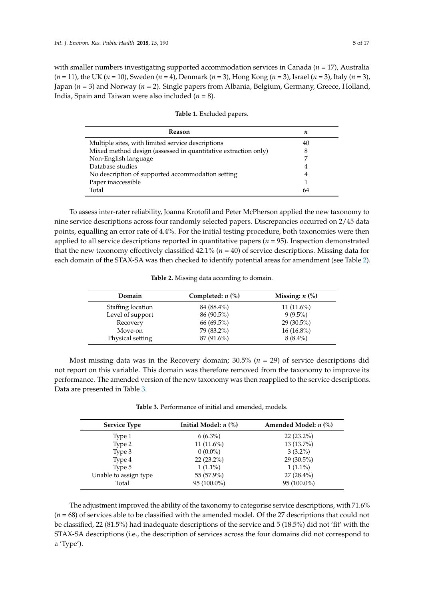with smaller numbers investigating supported accommodation services in Canada (*n* = 17), Australia (*n* = 11), the UK (*n* = 10), Sweden (*n* = 4), Denmark (*n* = 3), Hong Kong (*n* = 3), Israel (*n* = 3), Italy (*n* = 3), Japan (*n* = 3) and Norway (*n* = 2). Single papers from Albania, Belgium, Germany, Greece, Holland, India, Spain and Taiwan were also included (*n* = 8).

<span id="page-4-0"></span>

| Reason                                                         | n  |
|----------------------------------------------------------------|----|
| Multiple sites, with limited service descriptions              | 40 |
| Mixed method design (assessed in quantitative extraction only) | 8  |
| Non-English language                                           |    |
| Database studies                                               | 4  |
| No description of supported accommodation setting              | 4  |
| Paper inaccessible                                             |    |
| Total                                                          | 64 |

**Table 1.** Excluded papers.

To assess inter-rater reliability, Joanna Krotofil and Peter McPherson applied the new taxonomy to nine service descriptions across four randomly selected papers. Discrepancies occurred on 2/45 data points, equalling an error rate of 4.4%. For the initial testing procedure, both taxonomies were then applied to all service descriptions reported in quantitative papers (*n* = 95). Inspection demonstrated that the new taxonomy effectively classified 42.1% (*n* = 40) of service descriptions. Missing data for each domain of the STAX-SA was then checked to identify potential areas for amendment (see Table [2\)](#page-4-1).

**Table 2.** Missing data according to domain.

<span id="page-4-1"></span>

| Domain            | Completed: $n$ (%) | Missing: $n$ $\left(\frac{9}{6}\right)$ |
|-------------------|--------------------|-----------------------------------------|
| Staffing location | 84 (88.4%)         | $11(11.6\%)$                            |
| Level of support  | 86 (90.5%)         | $9(9.5\%)$                              |
| Recovery          | 66 (69.5%)         | $29(30.5\%)$                            |
| Move-on           | 79 (83.2%)         | $16(16.8\%)$                            |
| Physical setting  | 87 (91.6%)         | $8(8.4\%)$                              |

Most missing data was in the Recovery domain; 30.5% (*n* = 29) of service descriptions did not report on this variable. This domain was therefore removed from the taxonomy to improve its performance. The amended version of the new taxonomy was then reapplied to the service descriptions. Data are presented in Table [3.](#page-4-2)

<span id="page-4-2"></span>

| <b>Service Type</b>   | Initial Model: $n$ $%$ ) | Amended Model: $n$ (%) |
|-----------------------|--------------------------|------------------------|
| Type 1                | $6(6.3\%)$               | $22(23.2\%)$           |
| Type 2                | 11 $(11.6\%)$            | 13 (13.7%)             |
| Type 3                | $0(0.0\%)$               | $3(3.2\%)$             |
| Type 4                | $22(23.2\%)$             | $29(30.5\%)$           |
| Type 5                | $1(1.1\%)$               | $1(1.1\%)$             |
| Unable to assign type | 55 (57.9%)               | 27 (28.4%)             |
| Total                 | $95(100.0\%)$            | 95 (100.0%)            |

**Table 3.** Performance of initial and amended, models.

The adjustment improved the ability of the taxonomy to categorise service descriptions, with 71.6% (*n* = 68) of services able to be classified with the amended model. Of the 27 descriptions that could not be classified, 22 (81.5%) had inadequate descriptions of the service and 5 (18.5%) did not 'fit' with the STAX-SA descriptions (i.e., the description of services across the four domains did not correspond to a 'Type').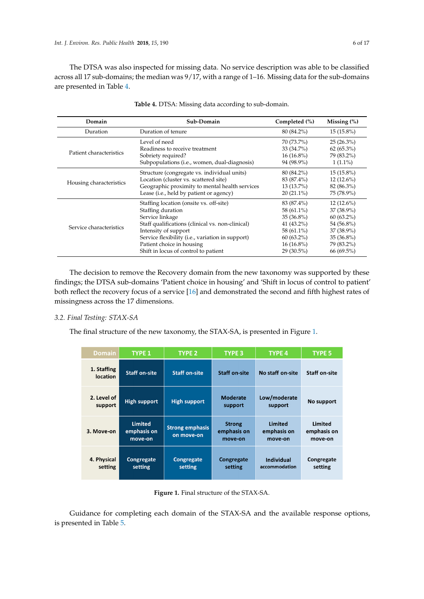The DTSA was also inspected for missing data. No service description was able to be classified *Int. J. Environ. Res. Public Health* **2018**, *15*, x 6 of 17 across all 17 sub-domains; the median was 9/17, with a range of 1–16. Missing data for the sub-domains are presented in Table [4.](#page-5-0) **Table 4.** DTSA: Missing data according to sub‐domain.

<span id="page-5-0"></span>

| Domain                  | Sub-Domain                                                | Completed $(\% )$ | Missing $(\%)$ |
|-------------------------|-----------------------------------------------------------|-------------------|----------------|
| Duration                | Duration of tenure                                        | 80 (84.2%)        | $15(15.8\%)$   |
|                         | Level of need                                             | 70 (73.7%)        | $25(26.3\%)$   |
|                         | Readiness to receive treatment                            | 33 (34.7%)        | $62(65.3\%)$   |
| Patient characteristics | Sobriety required?                                        | $16(16.8\%)$      | 79 (83.2%)     |
|                         | Subpopulations (i.e., women, dual-diagnosis)              | 94 (98.9%)        | $1(1.1\%)$     |
|                         | Structure (congregate vs. individual units)               | 80 (84.2%)        | $15(15.8\%)$   |
|                         | Location (cluster vs. scattered site)                     | 83 (87.4%)        | $12(12.6\%)$   |
| Housing characteristics | Geographic proximity to mental health services            | $13(13.7\%)$      | 82 (86.3%)     |
|                         | Lease ( <i>i.e.</i> , held by patient or agency)          | $20(21.1\%)$      | 75 (78.9%)     |
|                         | Staffing location (onsite vs. off-site)                   | 83 (87.4%)        | $12(12.6\%)$   |
|                         | Staffing duration                                         | 58 (61.1%)        | $37(38.9\%)$   |
|                         | Service linkage                                           | $35(36.8\%)$      | $60(63.2\%)$   |
|                         | Staff qualifications (clinical vs. non-clinical)          | 41 $(43.2\%)$     | 54 (56.8%)     |
| Service characteristics | Intensity of support                                      | 58 (61.1%)        | 37 (38.9%)     |
|                         | Service flexibility ( <i>i.e.</i> , variation in support) | $60(63.2\%)$      | $35(36.8\%)$   |
|                         | Patient choice in housing                                 | $16(16.8\%)$      | 79 (83.2%)     |
|                         | Shift in locus of control to patient                      | 29 (30.5%)        | 66 (69.5%)     |

| Table 4. DTSA: Missing data according to sub-domain. |
|------------------------------------------------------|

The decision to remove the Recovery domain from the new taxonomy was supported by these The decision to remove the Recovery domain from the new taxonomy was supported by these findings; the DTSA sub-domains 'Patient choice in housing' and 'Shift in locus of control to patient' findings; the DTSA sub‐domains 'Patient choice in housing' and 'Shift in locus of control to patient' both reflect the recovery focus of a service [\[16\]](#page-11-5) and demonstrated the second and fifth highest rates of both reflect the recovery focus of a service [16] and demonstrated the second and fifth highest rates missingness across the 17 dimensions. of missingness across the 17 dimensions.

# *3.2. Final Testing: STAX-SA 3.2. Final Testing: STAX‐SA*

<span id="page-5-1"></span>The final structure of the new taxonomy, the STAX-SA, is presented in Figure [1.](#page-5-1) The final structure of the new taxonomy, the STAX‐SA, is presented in Figure 1.

| <b>Domain</b>                  | <b>TYPE 1</b>                            | <b>TYPE 2</b>                        | <b>TYPE 3</b>                           | <b>TYPE 4</b>                            | <b>TYPE 5</b>                     |
|--------------------------------|------------------------------------------|--------------------------------------|-----------------------------------------|------------------------------------------|-----------------------------------|
| 1. Staffing<br><b>location</b> | <b>Staff on-site</b>                     | <b>Staff on-site</b>                 | <b>Staff on-site</b>                    | No staff on-site                         | <b>Staff on-site</b>              |
| 2. Level of<br>support         | <b>High support</b>                      | <b>High support</b>                  | <b>Moderate</b><br>support              | Low/moderate<br>support                  | No support                        |
| 3. Move-on                     | <b>Limited</b><br>emphasis on<br>move-on | <b>Strong emphasis</b><br>on move-on | <b>Strong</b><br>emphasis on<br>move-on | <b>Limited</b><br>emphasis on<br>move-on | Limited<br>emphasis on<br>move-on |
| 4. Physical<br>setting         | Congregate<br>setting                    | <b>Congregate</b><br>setting         | Congregate<br>setting                   | <b>Individual</b><br>accommodation       | Congregate<br>setting             |

**Figure 1.** Final structure of the STAX‐SA.

 $\sigma$  completing each domain of the available response options, is in the available response options, is is in Figure 1. Final structure of the STAX-SA.<br>Guidance for completing each domain of the STAX-SA and the available response options, is presented in Table [5.](#page-6-0)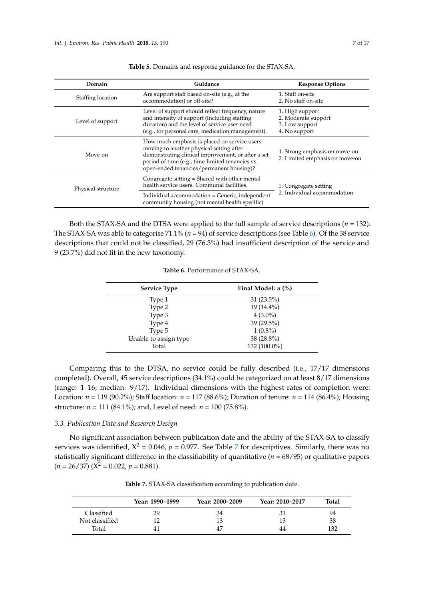<span id="page-6-0"></span>

| Domain             | Guidance                                                                                                                                                                                                                                       | <b>Response Options</b>                                                   |  |
|--------------------|------------------------------------------------------------------------------------------------------------------------------------------------------------------------------------------------------------------------------------------------|---------------------------------------------------------------------------|--|
| Staffing location  | Are support staff based on-site (e.g., at the<br>accommodation) or off-site?                                                                                                                                                                   | 1. Staff on-site<br>2. No staff on-site                                   |  |
| Level of support   | Level of support should reflect frequency, nature<br>and intensity of support (including staffing)<br>duration) and the level of service user need<br>(e.g., for personal care, medication management).                                        | 1. High support<br>2. Moderate support<br>3. Low support<br>4. No support |  |
| Move-on            | How much emphasis is placed on service users<br>moving to another physical setting after<br>demonstrating clinical improvement, or after a set<br>period of time (e.g., time-limited tenancies vs.<br>open-ended tenancies/permanent housing)? | 1. Strong emphasis on move-on<br>2. Limited emphasis on move-on           |  |
| Physical structure | Congregate setting = Shared with other mental<br>health service users. Communal facilities.                                                                                                                                                    | 1. Congregate setting<br>2. Individual accommodation                      |  |
|                    | Individual accommodation = Generic, independent<br>community housing (not mental health specific)                                                                                                                                              |                                                                           |  |

**Table 5.** Domains and response guidance for the STAX-SA.

<span id="page-6-1"></span>Both the STAX-SA and the DTSA were applied to the full sample of service descriptions (*n* = 132). The STAX-SA was able to categorise 71.1% ( $n = 94$ ) of service descriptions (see Table [6\)](#page-6-1). Of the 38 service descriptions that could not be classified, 29 (76.3%) had insufficient description of the service and 9 (23.7%) did not fit in the new taxonomy.

| <b>Service Type</b>   | Final Model: $n$ $\left(\% \right)$ |
|-----------------------|-------------------------------------|
| Type 1                | $31(23.5\%)$                        |
| Type 2                | 19 (14.4%)                          |
| Type 3                | $4(3.0\%)$                          |
| Type 4                | 39 (29.5%)                          |
| Type 5                | $1(0.8\%)$                          |
| Unable to assign type | 38 (28.8%)                          |
| Total                 | 132 (100.0%)                        |

**Table 6.** Performance of STAX-SA.

Comparing this to the DTSA, no service could be fully described (i.e., 17/17 dimensions completed). Overall, 45 service descriptions (34.1%) could be categorized on at least 8/17 dimensions (range: 1–16; median: 9/17). Individual dimensions with the highest rates of completion were: Location: *n* = 119 (90.2%); Staff location: *n* = 117 (88.6%); Duration of tenure: *n* = 114 (86.4%); Housing structure: *n* = 111 (84.1%); and, Level of need: *n* = 100 (75.8%).

# *3.3. Publication Date and Research Design*

No significant association between publication date and the ability of the STAX-SA to classify services was identified,  $X^2 = 0.046$ ,  $p = 0.977$  $p = 0.977$  $p = 0.977$ . See Table 7 for descriptives. Similarly, there was no statistically significant difference in the classifiability of quantitative (*n* = 68/95) or qualitative papers  $(n = 26/37)$   $(X^2 = 0.022, p = 0.881)$ .

<span id="page-6-2"></span>

|                | Year: 1990–1999 | Year: 2000-2009 | Year: 2010–2017 | Total |
|----------------|-----------------|-----------------|-----------------|-------|
| Classified     | 29              | 34              | 31              | 94    |
| Not classified |                 |                 | 13              | 38    |
| Total          | 41              | 47              | 44              | 132   |

**Table 7.** STAX-SA classification according to publication date.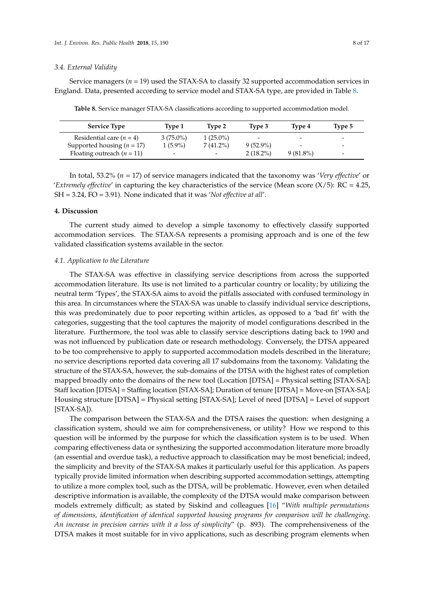#### *3.4. External Validity*

Service managers (*n* = 19) used the STAX-SA to classify 32 supported accommodation services in England. Data, presented according to service model and STAX-SA type, are provided in Table [8.](#page-7-0)

| <b>Service Type</b>            | Type 1                   | Type 2                   | Type 3                   | Type 4                   | Type 5                   |
|--------------------------------|--------------------------|--------------------------|--------------------------|--------------------------|--------------------------|
| Residential care $(n = 4)$     | $3(75.0\%)$              | $1(25.0\%)$              | $\overline{\phantom{0}}$ | $\overline{\phantom{0}}$ | $\overline{\phantom{0}}$ |
| Supported housing ( $n = 17$ ) | $1(5.9\%)$               | $7(41.2\%)$              | $9(52.9\%)$              | -                        | $\overline{\phantom{a}}$ |
| Floating outreach $(n = 11)$   | $\overline{\phantom{0}}$ | $\overline{\phantom{a}}$ | $2(18.2\%)$              | $9(81.8\%)$              | $\overline{\phantom{a}}$ |

<span id="page-7-0"></span>**Table 8.** Service manager STAX-SA classifications according to supported accommodation model.

In total, 53.2% (*n* = 17) of service managers indicated that the taxonomy was '*Very effective*' or *'Extremely effective'* in capturing the key characteristics of the service (Mean score  $(X/5)$ : RC = 4.25, SH = 3.24, FO = 3.91). None indicated that it was '*Not effective at all*'.

#### **4. Discussion**

The current study aimed to develop a simple taxonomy to effectively classify supported accommodation services. The STAX-SA represents a promising approach and is one of the few validated classification systems available in the sector.

#### *4.1. Application to the Literature*

The STAX-SA was effective in classifying service descriptions from across the supported accommodation literature. Its use is not limited to a particular country or locality; by utilizing the neutral term 'Types', the STAX-SA aims to avoid the pitfalls associated with confused terminology in this area. In circumstances where the STAX-SA was unable to classify individual service descriptions, this was predominately due to poor reporting within articles, as opposed to a 'bad fit' with the categories, suggesting that the tool captures the majority of model configurations described in the literature. Furthermore, the tool was able to classify service descriptions dating back to 1990 and was not influenced by publication date or research methodology. Conversely, the DTSA appeared to be too comprehensive to apply to supported accommodation models described in the literature; no service descriptions reported data covering all 17 subdomains from the taxonomy. Validating the structure of the STAX-SA, however, the sub-domains of the DTSA with the highest rates of completion mapped broadly onto the domains of the new tool (Location [DTSA] = Physical setting [STAX-SA]; Staff location [DTSA] = Staffing location [STAX-SA]; Duration of tenure [DTSA] = Move-on [STAX-SA]; Housing structure [DTSA] = Physical setting [STAX-SA]; Level of need [DTSA] = Level of support [STAX-SA]).

The comparison between the STAX-SA and the DTSA raises the question: when designing a classification system, should we aim for comprehensiveness, or utility? How we respond to this question will be informed by the purpose for which the classification system is to be used. When comparing effectiveness data or synthesizing the supported accommodation literature more broadly (an essential and overdue task), a reductive approach to classification may be most beneficial; indeed, the simplicity and brevity of the STAX-SA makes it particularly useful for this application. As papers typically provide limited information when describing supported accommodation settings, attempting to utilize a more complex tool, such as the DTSA, will be problematic. However, even when detailed descriptive information is available, the complexity of the DTSA would make comparison between models extremely difficult; as stated by Siskind and colleagues [\[16\]](#page-11-5) "*With multiple permutations of dimensions, identification of identical supported housing programs for comparison will be challenging. An increase in precision carries with it a loss of simplicity*" (p. 893). The comprehensiveness of the DTSA makes it most suitable for in vivo applications, such as describing program elements when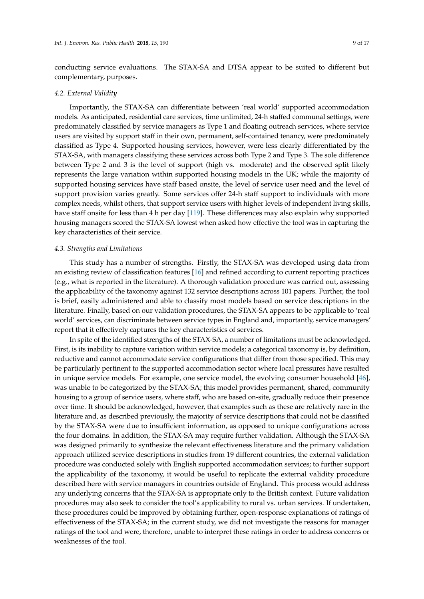conducting service evaluations. The STAX-SA and DTSA appear to be suited to different but complementary, purposes.

#### *4.2. External Validity*

Importantly, the STAX-SA can differentiate between 'real world' supported accommodation models. As anticipated, residential care services, time unlimited, 24-h staffed communal settings, were predominately classified by service managers as Type 1 and floating outreach services, where service users are visited by support staff in their own, permanent, self-contained tenancy, were predominately classified as Type 4. Supported housing services, however, were less clearly differentiated by the STAX-SA, with managers classifying these services across both Type 2 and Type 3. The sole difference between Type 2 and 3 is the level of support (high vs. moderate) and the observed split likely represents the large variation within supported housing models in the UK; while the majority of supported housing services have staff based onsite, the level of service user need and the level of support provision varies greatly. Some services offer 24-h staff support to individuals with more complex needs, whilst others, that support service users with higher levels of independent living skills, have staff onsite for less than 4 h per day [\[119\]](#page-16-1). These differences may also explain why supported housing managers scored the STAX-SA lowest when asked how effective the tool was in capturing the key characteristics of their service.

#### *4.3. Strengths and Limitations*

This study has a number of strengths. Firstly, the STAX-SA was developed using data from an existing review of classification features [\[16\]](#page-11-5) and refined according to current reporting practices (e.g., what is reported in the literature). A thorough validation procedure was carried out, assessing the applicability of the taxonomy against 132 service descriptions across 101 papers. Further, the tool is brief, easily administered and able to classify most models based on service descriptions in the literature. Finally, based on our validation procedures, the STAX-SA appears to be applicable to 'real world' services, can discriminate between service types in England and, importantly, service managers' report that it effectively captures the key characteristics of services.

In spite of the identified strengths of the STAX-SA, a number of limitations must be acknowledged. First, is its inability to capture variation within service models; a categorical taxonomy is, by definition, reductive and cannot accommodate service configurations that differ from those specified. This may be particularly pertinent to the supported accommodation sector where local pressures have resulted in unique service models. For example, one service model, the evolving consumer household [\[46\]](#page-12-0), was unable to be categorized by the STAX-SA; this model provides permanent, shared, community housing to a group of service users, where staff, who are based on-site, gradually reduce their presence over time. It should be acknowledged, however, that examples such as these are relatively rare in the literature and, as described previously, the majority of service descriptions that could not be classified by the STAX-SA were due to insufficient information, as opposed to unique configurations across the four domains. In addition, the STAX-SA may require further validation. Although the STAX-SA was designed primarily to synthesize the relevant effectiveness literature and the primary validation approach utilized service descriptions in studies from 19 different countries, the external validation procedure was conducted solely with English supported accommodation services; to further support the applicability of the taxonomy, it would be useful to replicate the external validity procedure described here with service managers in countries outside of England. This process would address any underlying concerns that the STAX-SA is appropriate only to the British context. Future validation procedures may also seek to consider the tool's applicability to rural vs. urban services. If undertaken, these procedures could be improved by obtaining further, open-response explanations of ratings of effectiveness of the STAX-SA; in the current study, we did not investigate the reasons for manager ratings of the tool and were, therefore, unable to interpret these ratings in order to address concerns or weaknesses of the tool.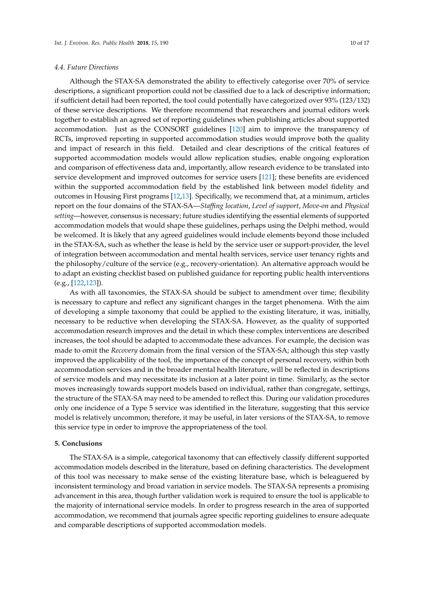#### *4.4. Future Directions*

Although the STAX-SA demonstrated the ability to effectively categorise over 70% of service descriptions, a significant proportion could not be classified due to a lack of descriptive information; if sufficient detail had been reported, the tool could potentially have categorized over 93% (123/132) of these service descriptions. We therefore recommend that researchers and journal editors work together to establish an agreed set of reporting guidelines when publishing articles about supported accommodation. Just as the CONSORT guidelines [\[120\]](#page-16-2) aim to improve the transparency of RCTs, improved reporting in supported accommodation studies would improve both the quality and impact of research in this field. Detailed and clear descriptions of the critical features of supported accommodation models would allow replication studies, enable ongoing exploration and comparison of effectiveness data and, importantly, allow research evidence to be translated into service development and improved outcomes for service users [\[121\]](#page-16-3); these benefits are evidenced within the supported accommodation field by the established link between model fidelity and outcomes in Housing First programs [\[12,](#page-11-1)[13\]](#page-11-2). Specifically, we recommend that, at a minimum, articles report on the four domains of the STAX-SA—*Staffing location*, *Level of support*, *Move-on* and *Physical setting*—however, consensus is necessary; future studies identifying the essential elements of supported accommodation models that would shape these guidelines, perhaps using the Delphi method, would be welcomed. It is likely that any agreed guidelines would include elements beyond those included in the STAX-SA, such as whether the lease is held by the service user or support-provider, the level of integration between accommodation and mental health services, service user tenancy rights and the philosophy/culture of the service (e.g., recovery-orientation). An alternative approach would be to adapt an existing checklist based on published guidance for reporting public health interventions (e.g., [\[122,](#page-16-4)[123\]](#page-16-5)).

As with all taxonomies, the STAX-SA should be subject to amendment over time; flexibility is necessary to capture and reflect any significant changes in the target phenomena. With the aim of developing a simple taxonomy that could be applied to the existing literature, it was, initially, necessary to be reductive when developing the STAX-SA. However, as the quality of supported accommodation research improves and the detail in which these complex interventions are described increases, the tool should be adapted to accommodate these advances. For example, the decision was made to omit the *Recovery* domain from the final version of the STAX-SA; although this step vastly improved the applicability of the tool, the importance of the concept of personal recovery, within both accommodation services and in the broader mental health literature, will be reflected in descriptions of service models and may necessitate its inclusion at a later point in time. Similarly, as the sector moves increasingly towards support models based on individual, rather than congregate, settings, the structure of the STAX-SA may need to be amended to reflect this. During our validation procedures only one incidence of a Type 5 service was identified in the literature, suggesting that this service model is relatively uncommon; therefore, it may be useful, in later versions of the STAX-SA, to remove this service type in order to improve the appropriateness of the tool.

## **5. Conclusions**

The STAX-SA is a simple, categorical taxonomy that can effectively classify different supported accommodation models described in the literature, based on defining characteristics. The development of this tool was necessary to make sense of the existing literature base, which is beleaguered by inconsistent terminology and broad variation in service models. The STAX-SA represents a promising advancement in this area, though further validation work is required to ensure the tool is applicable to the majority of international service models. In order to progress research in the area of supported accommodation, we recommend that journals agree specific reporting guidelines to ensure adequate and comparable descriptions of supported accommodation models.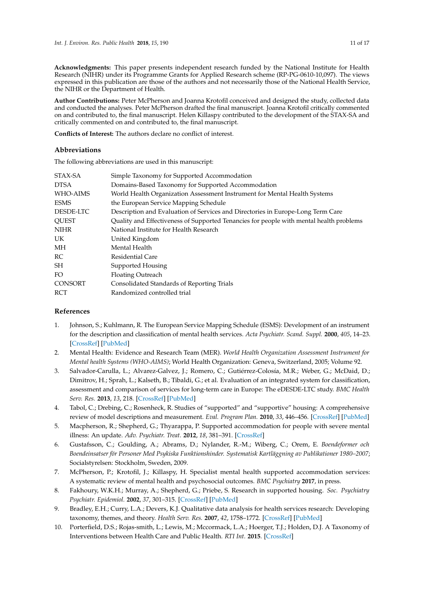**Acknowledgments:** This paper presents independent research funded by the National Institute for Health Research (NIHR) under its Programme Grants for Applied Research scheme (RP-PG-0610-10,097). The views expressed in this publication are those of the authors and not necessarily those of the National Health Service, the NIHR or the Department of Health.

**Author Contributions:** Peter McPherson and Joanna Krotofil conceived and designed the study, collected data and conducted the analyses. Peter McPherson drafted the final manuscript. Joanna Krotofil critically commented on and contributed to, the final manuscript. Helen Killaspy contributed to the development of the STAX-SA and critically commented on and contributed to, the final manuscript.

**Conflicts of Interest:** The authors declare no conflict of interest.

#### **Abbreviations**

The following abbreviations are used in this manuscript:

| STAX-SA      | Simple Taxonomy for Supported Accommodation                                             |
|--------------|-----------------------------------------------------------------------------------------|
| <b>DTSA</b>  | Domains-Based Taxonomy for Supported Accommodation                                      |
| WHO-AIMS     | World Health Organization Assessment Instrument for Mental Health Systems               |
| <b>ESMS</b>  | the European Service Mapping Schedule                                                   |
| DESDE-LTC    | Description and Evaluation of Services and Directories in Europe-Long Term Care         |
| <b>OUEST</b> | Quality and Effectiveness of Supported Tenancies for people with mental health problems |
| NIHR         | National Institute for Health Research                                                  |
| UK.          | United Kingdom                                                                          |
| МH           | Mental Health                                                                           |
| RC           | Residential Care                                                                        |
| SH           | Supported Housing                                                                       |
| FO.          | <b>Floating Outreach</b>                                                                |
| CONSORT      | Consolidated Standards of Reporting Trials                                              |
| RCT          | Randomized controlled trial                                                             |
|              |                                                                                         |

### **References**

- <span id="page-10-0"></span>1. Johnson, S.; Kuhlmann, R. The European Service Mapping Schedule (ESMS): Development of an instrument for the description and classification of mental health services. *Acta Psychiatr. Scand. Suppl.* **2000**, *405*, 14–23. [\[CrossRef\]](http://dx.doi.org/10.1111/j.0902-4441.2000.t01-1-acp28-03.x) [\[PubMed\]](http://www.ncbi.nlm.nih.gov/pubmed/11129094)
- <span id="page-10-1"></span>2. Mental Health: Evidence and Research Team (MER). *World Health Organization Assessment Instrument for Mental health Systems (WHO-AIMS)*; World Health Organization: Geneva, Switzerland, 2005; Volume 92.
- <span id="page-10-2"></span>3. Salvador-Carulla, L.; Alvarez-Galvez, J.; Romero, C.; Gutiérrez-Colosía, M.R.; Weber, G.; McDaid, D.; Dimitrov, H.; Sprah, L.; Kalseth, B.; Tibaldi, G.; et al. Evaluation of an integrated system for classification, assessment and comparison of services for long-term care in Europe: The eDESDE-LTC study. *BMC Health Serv. Res.* **2013**, *13*, 218. [\[CrossRef\]](http://dx.doi.org/10.1186/1472-6963-13-218) [\[PubMed\]](http://www.ncbi.nlm.nih.gov/pubmed/23768163)
- <span id="page-10-3"></span>4. Tabol, C.; Drebing, C.; Rosenheck, R. Studies of "supported" and "supportive" housing: A comprehensive review of model descriptions and measurement. *Eval. Program Plan.* **2010**, *33*, 446–456. [\[CrossRef\]](http://dx.doi.org/10.1016/j.evalprogplan.2009.12.002) [\[PubMed\]](http://www.ncbi.nlm.nih.gov/pubmed/20138365)
- <span id="page-10-4"></span>5. Macpherson, R.; Shepherd, G.; Thyarappa, P. Supported accommodation for people with severe mental illness: An update. *Adv. Psychiatr. Treat.* **2012**, *18*, 381–391. [\[CrossRef\]](http://dx.doi.org/10.1192/apt.bp.110.008714)
- <span id="page-10-5"></span>6. Gustafsson, C.; Goulding, A.; Abrams, D.; Nylander, R.-M.; Wiberg, C.; Orem, E. *Boendeformer och Boendeinsatser för Personer Med Psykiska Funktionshinder. Systematisk Kartläggning av Publikationer 1980–2007*; Socialstyrelsen: Stockholm, Sweden, 2009.
- <span id="page-10-6"></span>7. McPherson, P.; Krotofil, J.; Killaspy, H. Specialist mental health supported accommodation services: A systematic review of mental health and psychosocial outcomes. *BMC Psychiatry* **2017**, in press.
- <span id="page-10-7"></span>8. Fakhoury, W.K.H.; Murray, A.; Shepherd, G.; Priebe, S. Research in supported housing. *Soc. Psychiatry Psychiatr. Epidemiol.* **2002**, *37*, 301–315. [\[CrossRef\]](http://dx.doi.org/10.1007/s00127-002-0549-4) [\[PubMed\]](http://www.ncbi.nlm.nih.gov/pubmed/12111022)
- <span id="page-10-8"></span>9. Bradley, E.H.; Curry, L.A.; Devers, K.J. Qualitative data analysis for health services research: Developing taxonomy, themes, and theory. *Health Serv. Res.* **2007**, *42*, 1758–1772. [\[CrossRef\]](http://dx.doi.org/10.1111/j.1475-6773.2006.00684.x) [\[PubMed\]](http://www.ncbi.nlm.nih.gov/pubmed/17286625)
- <span id="page-10-9"></span>10. Porterfield, D.S.; Rojas-smith, L.; Lewis, M.; Mccormack, L.A.; Hoerger, T.J.; Holden, D.J. A Taxonomy of Interventions between Health Care and Public Health. *RTI Int.* **2015**. [\[CrossRef\]](http://dx.doi.org/10.3768/rtipress.2015.op.0023.1507)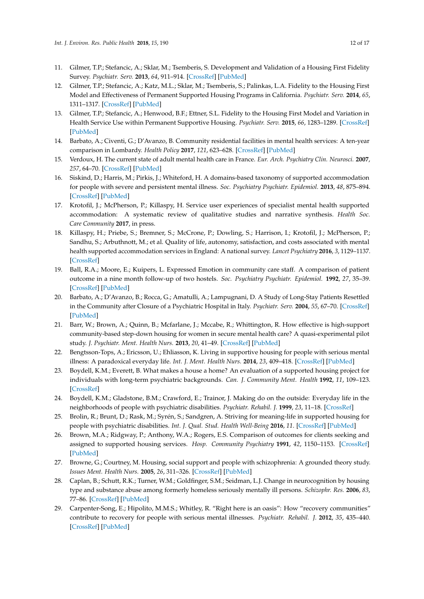- <span id="page-11-0"></span>11. Gilmer, T.P.; Stefancic, A.; Sklar, M.; Tsemberis, S. Development and Validation of a Housing First Fidelity Survey. *Psychiatr. Serv.* **2013**, *64*, 911–914. [\[CrossRef\]](http://dx.doi.org/10.1176/appi.ps.201200500) [\[PubMed\]](http://www.ncbi.nlm.nih.gov/pubmed/24026835)
- <span id="page-11-1"></span>12. Gilmer, T.P.; Stefancic, A.; Katz, M.L.; Sklar, M.; Tsemberis, S.; Palinkas, L.A. Fidelity to the Housing First Model and Effectiveness of Permanent Supported Housing Programs in California. *Psychiatr. Serv.* **2014**, *65*, 1311–1317. [\[CrossRef\]](http://dx.doi.org/10.1176/appi.ps.201300447) [\[PubMed\]](http://www.ncbi.nlm.nih.gov/pubmed/25022911)
- <span id="page-11-2"></span>13. Gilmer, T.P.; Stefancic, A.; Henwood, B.F.; Ettner, S.L. Fidelity to the Housing First Model and Variation in Health Service Use within Permanent Supportive Housing. *Psychiatr. Serv.* **2015**, *66*, 1283–1289. [\[CrossRef\]](http://dx.doi.org/10.1176/appi.ps.201400564) [\[PubMed\]](http://www.ncbi.nlm.nih.gov/pubmed/26325459)
- <span id="page-11-3"></span>14. Barbato, A.; Civenti, G.; D'Avanzo, B. Community residential facilities in mental health services: A ten-year comparison in Lombardy. *Health Policy* **2017**, *121*, 623–628. [\[CrossRef\]](http://dx.doi.org/10.1016/j.healthpol.2017.03.012) [\[PubMed\]](http://www.ncbi.nlm.nih.gov/pubmed/28400127)
- <span id="page-11-4"></span>15. Verdoux, H. The current state of adult mental health care in France. *Eur. Arch. Psychiatry Clin. Neurosci.* **2007**, *257*, 64–70. [\[CrossRef\]](http://dx.doi.org/10.1007/s00406-006-0693-z) [\[PubMed\]](http://www.ncbi.nlm.nih.gov/pubmed/17131218)
- <span id="page-11-5"></span>16. Siskind, D.; Harris, M.; Pirkis, J.; Whiteford, H. A domains-based taxonomy of supported accommodation for people with severe and persistent mental illness. *Soc. Psychiatry Psychiatr. Epidemiol.* **2013**, *48*, 875–894. [\[CrossRef\]](http://dx.doi.org/10.1007/s00127-012-0590-x) [\[PubMed\]](http://www.ncbi.nlm.nih.gov/pubmed/23052423)
- <span id="page-11-6"></span>17. Krotofil, J.; McPherson, P.; Killaspy, H. Service user experiences of specialist mental health supported accommodation: A systematic review of qualitative studies and narrative synthesis. *Health Soc. Care Community* **2017**, in press.
- <span id="page-11-7"></span>18. Killaspy, H.; Priebe, S.; Bremner, S.; McCrone, P.; Dowling, S.; Harrison, I.; Krotofil, J.; McPherson, P.; Sandhu, S.; Arbuthnott, M.; et al. Quality of life, autonomy, satisfaction, and costs associated with mental health supported accommodation services in England: A national survey. *Lancet Psychiatry* **2016**, *3*, 1129–1137. [\[CrossRef\]](http://dx.doi.org/10.1016/S2215-0366(16)30327-3)
- <span id="page-11-8"></span>19. Ball, R.A.; Moore, E.; Kuipers, L. Expressed Emotion in community care staff. A comparison of patient outcome in a nine month follow-up of two hostels. *Soc. Psychiatry Psychiatr. Epidemiol.* **1992**, *27*, 35–39. [\[CrossRef\]](http://dx.doi.org/10.1007/BF00788954) [\[PubMed\]](http://www.ncbi.nlm.nih.gov/pubmed/1557680)
- 20. Barbato, A.; D'Avanzo, B.; Rocca, G.; Amatulli, A.; Lampugnani, D. A Study of Long-Stay Patients Resettled in the Community after Closure of a Psychiatric Hospital in Italy. *Psychiatr. Serv.* **2004**, *55*, 67–70. [\[CrossRef\]](http://dx.doi.org/10.1176/appi.ps.55.1.67) [\[PubMed\]](http://www.ncbi.nlm.nih.gov/pubmed/14699203)
- 21. Barr, W.; Brown, A.; Quinn, B.; Mcfarlane, J.; Mccabe, R.; Whittington, R. How effective is high-support community-based step-down housing for women in secure mental health care? A quasi-experimental pilot study. *J. Psychiatr. Ment. Health Nurs.* **2013**, *20*, 41–49. [\[CrossRef\]](http://dx.doi.org/10.1111/j.1365-2850.2012.01886.x) [\[PubMed\]](http://www.ncbi.nlm.nih.gov/pubmed/22384862)
- 22. Bengtsson-Tops, A.; Ericsson, U.; Ehliasson, K. Living in supportive housing for people with serious mental illness: A paradoxical everyday life. *Int. J. Ment. Health Nurs.* **2014**, *23*, 409–418. [\[CrossRef\]](http://dx.doi.org/10.1111/inm.12072) [\[PubMed\]](http://www.ncbi.nlm.nih.gov/pubmed/24802100)
- 23. Boydell, K.M.; Everett, B. What makes a house a home? An evaluation of a supported housing project for individuals with long-term psychiatric backgrounds. *Can. J. Community Ment. Health* **1992**, *11*, 109–123. [\[CrossRef\]](http://dx.doi.org/10.7870/cjcmh-1992-0008)
- 24. Boydell, K.M.; Gladstone, B.M.; Crawford, E.; Trainor, J. Making do on the outside: Everyday life in the neighborhoods of people with psychiatric disabilities. *Psychiatr. Rehabil. J.* **1999**, *23*, 11–18. [\[CrossRef\]](http://dx.doi.org/10.1037/h0095200)
- 25. Brolin, R.; Brunt, D.; Rask, M.; Syrén, S.; Sandgren, A. Striving for meaning-life in supported housing for people with psychiatric disabilities. *Int. J. Qual. Stud. Health Well-Being* **2016**, *11*. [\[CrossRef\]](http://dx.doi.org/10.3402/qhw.v11.31249) [\[PubMed\]](http://www.ncbi.nlm.nih.gov/pubmed/27172517)
- 26. Brown, M.A.; Ridgway, P.; Anthony, W.A.; Rogers, E.S. Comparison of outcomes for clients seeking and assigned to supported housing services. *Hosp. Community Psychiatry* **1991**, *42*, 1150–1153. [\[CrossRef\]](http://dx.doi.org/10.1176/ps.42.11.1150) [\[PubMed\]](http://www.ncbi.nlm.nih.gov/pubmed/1743644)
- 27. Browne, G.; Courtney, M. Housing, social support and people with schizophrenia: A grounded theory study. *Issues Ment. Health Nurs.* **2005**, *26*, 311–326. [\[CrossRef\]](http://dx.doi.org/10.1080/01612840590915694) [\[PubMed\]](http://www.ncbi.nlm.nih.gov/pubmed/16020049)
- 28. Caplan, B.; Schutt, R.K.; Turner, W.M.; Goldfinger, S.M.; Seidman, L.J. Change in neurocognition by housing type and substance abuse among formerly homeless seriously mentally ill persons. *Schizophr. Res.* **2006**, *83*, 77–86. [\[CrossRef\]](http://dx.doi.org/10.1016/j.schres.2005.11.013) [\[PubMed\]](http://www.ncbi.nlm.nih.gov/pubmed/16504484)
- 29. Carpenter-Song, E.; Hipolito, M.M.S.; Whitley, R. "Right here is an oasis": How "recovery communities" contribute to recovery for people with serious mental illnesses. *Psychiatr. Rehabil. J.* **2012**, *35*, 435–440. [\[CrossRef\]](http://dx.doi.org/10.1037/h0094576) [\[PubMed\]](http://www.ncbi.nlm.nih.gov/pubmed/23276236)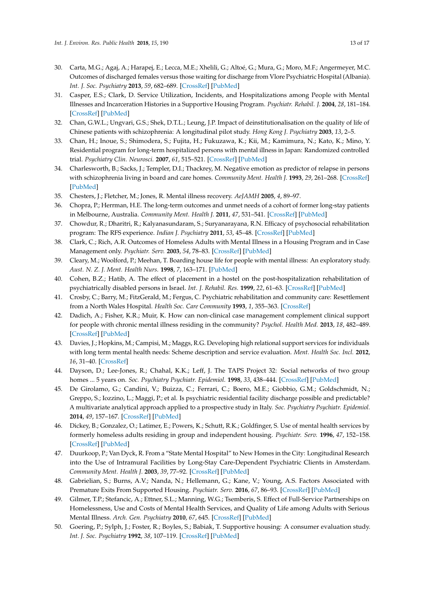- 30. Carta, M.G.; Agaj, A.; Harapej, E.; Lecca, M.E.; Xhelili, G.; Altoé, G.; Mura, G.; Moro, M.F.; Angermeyer, M.C. Outcomes of discharged females versus those waiting for discharge from Vlore Psychiatric Hospital (Albania). *Int. J. Soc. Psychiatry* **2013**, *59*, 682–689. [\[CrossRef\]](http://dx.doi.org/10.1177/0020764012452353) [\[PubMed\]](http://www.ncbi.nlm.nih.gov/pubmed/22807583)
- 31. Casper, E.S.; Clark, D. Service Utilization, Incidents, and Hospitalizations among People with Mental Illnesses and Incarceration Histories in a Supportive Housing Program. *Psychiatr. Rehabil. J.* **2004**, *28*, 181–184. [\[CrossRef\]](http://dx.doi.org/10.2975/28.2004.181.184) [\[PubMed\]](http://www.ncbi.nlm.nih.gov/pubmed/15605755)
- 32. Chan, G.W.L.; Ungvari, G.S.; Shek, D.T.L.; Leung, J.P. Impact of deinstitutionalisation on the quality of life of Chinese patients with schizophrenia: A longitudinal pilot study. *Hong Kong J. Psychiatry* **2003**, *13*, 2–5.
- 33. Chan, H.; Inoue, S.; Shimodera, S.; Fujita, H.; Fukuzawa, K.; Kii, M.; Kamimura, N.; Kato, K.; Mino, Y. Residential program for long-term hospitalized persons with mental illness in Japan: Randomized controlled trial. *Psychiatry Clin. Neurosci.* **2007**, *61*, 515–521. [\[CrossRef\]](http://dx.doi.org/10.1111/j.1440-1819.2007.01701.x) [\[PubMed\]](http://www.ncbi.nlm.nih.gov/pubmed/17875030)
- 34. Charlesworth, B.; Sacks, J.; Templer, D.I.; Thackrey, M. Negative emotion as predictor of relapse in persons with schizophrenia living in board and care homes. *Community Ment. Health J.* **1993**, *29*, 261–268. [\[CrossRef\]](http://dx.doi.org/10.1007/BF00778811) [\[PubMed\]](http://www.ncbi.nlm.nih.gov/pubmed/8375135)
- 35. Chesters, J.; Fletcher, M.; Jones, R. Mental illness recovery. *AeJAMH* **2005**, *4*, 89–97.
- 36. Chopra, P.; Herrman, H.E. The long-term outcomes and unmet needs of a cohort of former long-stay patients in Melbourne, Australia. *Community Ment. Health J.* **2011**, *47*, 531–541. [\[CrossRef\]](http://dx.doi.org/10.1007/s10597-010-9351-z) [\[PubMed\]](http://www.ncbi.nlm.nih.gov/pubmed/20931282)
- 37. Chowdur, R.; Dharitri, R.; Kalyanasundaram, S.; Suryanarayana, R.N. Efficacy of psychosocial rehabilitation program: The RFS experience. *Indian J. Psychiatry* **2011**, *53*, 45–48. [\[CrossRef\]](http://dx.doi.org/10.4103/0019-5545.75563) [\[PubMed\]](http://www.ncbi.nlm.nih.gov/pubmed/21431008)
- 38. Clark, C.; Rich, A.R. Outcomes of Homeless Adults with Mental Illness in a Housing Program and in Case Management only. *Psychiatr. Serv.* **2003**, *54*, 78–83. [\[CrossRef\]](http://dx.doi.org/10.1176/appi.ps.54.1.78) [\[PubMed\]](http://www.ncbi.nlm.nih.gov/pubmed/12509671)
- 39. Cleary, M.; Woolford, P.; Meehan, T. Boarding house life for people with mental illness: An exploratory study. *Aust. N. Z. J. Ment. Health Nurs.* **1998**, *7*, 163–171. [\[PubMed\]](http://www.ncbi.nlm.nih.gov/pubmed/10095466)
- 40. Cohen, B.Z.; Hatib, A. The effect of placement in a hostel on the post-hospitalization rehabilitation of psychiatrically disabled persons in Israel. *Int. J. Rehabil. Res.* **1999**, *22*, 61–63. [\[CrossRef\]](http://dx.doi.org/10.1097/00004356-199903000-00008) [\[PubMed\]](http://www.ncbi.nlm.nih.gov/pubmed/10207753)
- 41. Crosby, C.; Barry, M.; FitzGerald, M.; Fergus, C. Psychiatric rehabilitation and community care: Resettlement from a North Wales Hospital. *Health Soc. Care Community* **1993**, *1*, 355–363. [\[CrossRef\]](http://dx.doi.org/10.1111/j.1365-2524.1993.tb00238.x)
- 42. Dadich, A.; Fisher, K.R.; Muir, K. How can non-clinical case management complement clinical support for people with chronic mental illness residing in the community? *Psychol. Health Med.* **2013**, *18*, 482–489. [\[CrossRef\]](http://dx.doi.org/10.1080/13548506.2012.748207) [\[PubMed\]](http://www.ncbi.nlm.nih.gov/pubmed/23227979)
- 43. Davies, J.; Hopkins, M.; Campisi, M.; Maggs, R.G. Developing high relational support services for individuals with long term mental health needs: Scheme description and service evaluation. *Ment. Health Soc. Incl.* **2012**, *16*, 31–40. [\[CrossRef\]](http://dx.doi.org/10.1108/20428301211205883)
- 44. Dayson, D.; Lee-Jones, R.; Chahal, K.K.; Leff, J. The TAPS Project 32: Social networks of two group homes ... 5 years on. *Soc. Psychiatry Psychiatr. Epidemiol.* **1998**, *33*, 438–444. [\[CrossRef\]](http://dx.doi.org/10.1007/s001270050077) [\[PubMed\]](http://www.ncbi.nlm.nih.gov/pubmed/9766170)
- 45. De Girolamo, G.; Candini, V.; Buizza, C.; Ferrari, C.; Boero, M.E.; Giobbio, G.M.; Goldschmidt, N.; Greppo, S.; Iozzino, L.; Maggi, P.; et al. Is psychiatric residential facility discharge possible and predictable? A multivariate analytical approach applied to a prospective study in Italy. *Soc. Psychiatry Psychiatr. Epidemiol.* **2014**, *49*, 157–167. [\[CrossRef\]](http://dx.doi.org/10.1007/s00127-013-0705-z) [\[PubMed\]](http://www.ncbi.nlm.nih.gov/pubmed/23712514)
- <span id="page-12-0"></span>46. Dickey, B.; Gonzalez, O.; Latimer, E.; Powers, K.; Schutt, R.K.; Goldfinger, S. Use of mental health services by formerly homeless adults residing in group and independent housing. *Psychiatr. Serv.* **1996**, *47*, 152–158. [\[CrossRef\]](http://dx.doi.org/10.1176/ps.47.2.152) [\[PubMed\]](http://www.ncbi.nlm.nih.gov/pubmed/8825251)
- 47. Duurkoop, P.; Van Dyck, R. From a "State Mental Hospital" to New Homes in the City: Longitudinal Research into the Use of Intramural Facilities by Long-Stay Care-Dependent Psychiatric Clients in Amsterdam. *Community Ment. Health J.* **2003**, *39*, 77–92. [\[CrossRef\]](http://dx.doi.org/10.1023/A:1021230008729) [\[PubMed\]](http://www.ncbi.nlm.nih.gov/pubmed/12650557)
- 48. Gabrielian, S.; Burns, A.V.; Nanda, N.; Hellemann, G.; Kane, V.; Young, A.S. Factors Associated with Premature Exits From Supported Housing. *Psychiatr. Serv.* **2016**, *67*, 86–93. [\[CrossRef\]](http://dx.doi.org/10.1176/appi.ps.201400311) [\[PubMed\]](http://www.ncbi.nlm.nih.gov/pubmed/26467908)
- 49. Gilmer, T.P.; Stefancic, A.; Ettner, S.L.; Manning, W.G.; Tsemberis, S. Effect of Full-Service Partnerships on Homelessness, Use and Costs of Mental Health Services, and Quality of Life among Adults with Serious Mental Illness. *Arch. Gen. Psychiatry* **2010**, *67*, 645. [\[CrossRef\]](http://dx.doi.org/10.1001/archgenpsychiatry.2010.56) [\[PubMed\]](http://www.ncbi.nlm.nih.gov/pubmed/20530014)
- 50. Goering, P.; Sylph, J.; Foster, R.; Boyles, S.; Babiak, T. Supportive housing: A consumer evaluation study. *Int. J. Soc. Psychiatry* **1992**, *38*, 107–119. [\[CrossRef\]](http://dx.doi.org/10.1177/002076409203800204) [\[PubMed\]](http://www.ncbi.nlm.nih.gov/pubmed/1506135)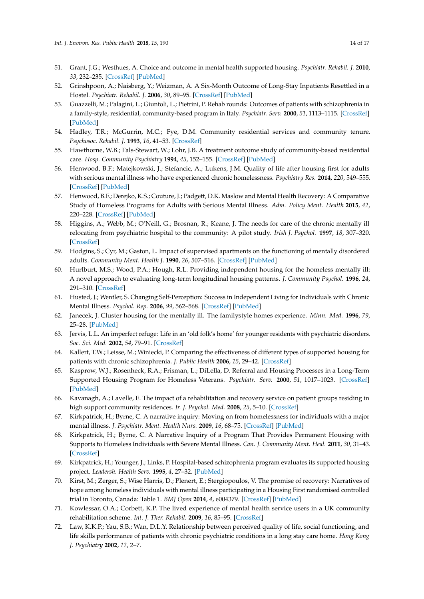- 51. Grant, J.G.; Westhues, A. Choice and outcome in mental health supported housing. *Psychiatr. Rehabil. J.* **2010**, *33*, 232–235. [\[CrossRef\]](http://dx.doi.org/10.2975/33.3.2010.232.235) [\[PubMed\]](http://www.ncbi.nlm.nih.gov/pubmed/20061260)
- 52. Grinshpoon, A.; Naisberg, Y.; Weizman, A. A Six-Month Outcome of Long-Stay Inpatients Resettled in a Hostel. *Psychiatr. Rehabil. J.* **2006**, *30*, 89–95. [\[CrossRef\]](http://dx.doi.org/10.2975/30.2006.89.95) [\[PubMed\]](http://www.ncbi.nlm.nih.gov/pubmed/17076051)
- 53. Guazzelli, M.; Palagini, L.; Giuntoli, L.; Pietrini, P. Rehab rounds: Outcomes of patients with schizophrenia in a family-style, residential, community-based program in Italy. *Psychiatr. Serv.* **2000**, *51*, 1113–1115. [\[CrossRef\]](http://dx.doi.org/10.1176/appi.ps.51.9.1113) [\[PubMed\]](http://www.ncbi.nlm.nih.gov/pubmed/10970911)
- 54. Hadley, T.R.; McGurrin, M.C.; Fye, D.M. Community residential services and community tenure. *Psychosoc. Rehabil. J.* **1993**, *16*, 41–53. [\[CrossRef\]](http://dx.doi.org/10.1037/h0095676)
- 55. Hawthorne, W.B.; Fals-Stewart, W.; Lohr, J.B. A treatment outcome study of community-based residential care. *Hosp. Community Psychiatry* **1994**, *45*, 152–155. [\[CrossRef\]](http://dx.doi.org/10.1176/ps.45.2.152) [\[PubMed\]](http://www.ncbi.nlm.nih.gov/pubmed/8168795)
- 56. Henwood, B.F.; Matejkowski, J.; Stefancic, A.; Lukens, J.M. Quality of life after housing first for adults with serious mental illness who have experienced chronic homelessness. *Psychiatry Res.* **2014**, *220*, 549–555. [\[CrossRef\]](http://dx.doi.org/10.1016/j.psychres.2014.07.072) [\[PubMed\]](http://www.ncbi.nlm.nih.gov/pubmed/25129560)
- 57. Henwood, B.F.; Derejko, K.S.; Couture, J.; Padgett, D.K. Maslow and Mental Health Recovery: A Comparative Study of Homeless Programs for Adults with Serious Mental Illness. *Adm. Policy Ment. Health* **2015**, *42*, 220–228. [\[CrossRef\]](http://dx.doi.org/10.1007/s10488-014-0542-8) [\[PubMed\]](http://www.ncbi.nlm.nih.gov/pubmed/24518968)
- 58. Higgins, A.; Webb, M.; O'Neill, G.; Brosnan, R.; Keane, J. The needs for care of the chronic mentally ill relocating from psychiatric hospital to the community: A pilot study. *Irish J. Psychol.* **1997**, *18*, 307–320. [\[CrossRef\]](http://dx.doi.org/10.1080/03033910.1997.10558149)
- 59. Hodgins, S.; Cyr, M.; Gaston, L. Impact of supervised apartments on the functioning of mentally disordered adults. *Community Ment. Health J.* **1990**, *26*, 507–516. [\[CrossRef\]](http://dx.doi.org/10.1007/BF00752455) [\[PubMed\]](http://www.ncbi.nlm.nih.gov/pubmed/2286056)
- 60. Hurlburt, M.S.; Wood, P.A.; Hough, R.L. Providing independent housing for the homeless mentally ill: A novel approach to evaluating long-term longitudinal housing patterns. *J. Community Psychol.* **1996**, *24*, 291–310. [\[CrossRef\]](http://dx.doi.org/10.1002/(SICI)1520-6629(199607)24:3<291::AID-JCOP8>3.0.CO;2-)
- 61. Husted, J.; Wentler, S. Changing Self-Perception: Success in Independent Living for Individuals with Chronic Mental Illness. *Psychol. Rep.* **2006**, *99*, 562–568. [\[CrossRef\]](http://dx.doi.org/10.2466/pr0.99.2.562-568) [\[PubMed\]](http://www.ncbi.nlm.nih.gov/pubmed/17153827)
- 62. Janecek, J. Cluster housing for the mentally ill. The familystyle homes experience. *Minn. Med.* **1996**, *79*, 25–28. [\[PubMed\]](http://www.ncbi.nlm.nih.gov/pubmed/8587556)
- 63. Jervis, L.L. An imperfect refuge: Life in an 'old folk's home' for younger residents with psychiatric disorders. *Soc. Sci. Med.* **2002**, *54*, 79–91. [\[CrossRef\]](http://dx.doi.org/10.1016/S0277-9536(01)00014-4)
- 64. Kallert, T.W.; Leisse, M.; Winiecki, P. Comparing the effectiveness of different types of supported housing for patients with chronic schizophrenia. *J. Public Health* **2006**, *15*, 29–42. [\[CrossRef\]](http://dx.doi.org/10.1007/s10389-006-0071-3)
- 65. Kasprow, W.J.; Rosenheck, R.A.; Frisman, L.; DiLella, D. Referral and Housing Processes in a Long-Term Supported Housing Program for Homeless Veterans. *Psychiatr. Serv.* **2000**, *51*, 1017–1023. [\[CrossRef\]](http://dx.doi.org/10.1176/appi.ps.51.8.1017) [\[PubMed\]](http://www.ncbi.nlm.nih.gov/pubmed/10913455)
- 66. Kavanagh, A.; Lavelle, E. The impact of a rehabilitation and recovery service on patient groups residing in high support community residences. *Ir. J. Psychol. Med.* **2008**, *25*, 5–10. [\[CrossRef\]](http://dx.doi.org/10.1017/S0790966700010764)
- 67. Kirkpatrick, H.; Byrne, C. A narrative inquiry: Moving on from homelessness for individuals with a major mental illness. *J. Psychiatr. Ment. Health Nurs.* **2009**, *16*, 68–75. [\[CrossRef\]](http://dx.doi.org/10.1111/j.1365-2850.2008.01331.x) [\[PubMed\]](http://www.ncbi.nlm.nih.gov/pubmed/19192088)
- 68. Kirkpatrick, H.; Byrne, C. A Narrative Inquiry of a Program That Provides Permanent Housing with Supports to Homeless Individuals with Severe Mental Illness. *Can. J. Community Ment. Heal.* **2011**, *30*, 31–43. [\[CrossRef\]](http://dx.doi.org/10.7870/cjcmh-2011-0003)
- 69. Kirkpatrick, H.; Younger, J.; Links, P. Hospital-based schizophrenia program evaluates its supported housing project. *Leadersh. Health Serv.* **1995**, *4*, 27–32. [\[PubMed\]](http://www.ncbi.nlm.nih.gov/pubmed/10141735)
- 70. Kirst, M.; Zerger, S.; Wise Harris, D.; Plenert, E.; Stergiopoulos, V. The promise of recovery: Narratives of hope among homeless individuals with mental illness participating in a Housing First randomised controlled trial in Toronto, Canada: Table 1. *BMJ Open* **2014**, *4*, e004379. [\[CrossRef\]](http://dx.doi.org/10.1136/bmjopen-2013-004379) [\[PubMed\]](http://www.ncbi.nlm.nih.gov/pubmed/24589826)
- 71. Kowlessar, O.A.; Corbett, K.P. The lived experience of mental health service users in a UK community rehabilitation scheme. *Int. J. Ther. Rehabil.* **2009**, *16*, 85–95. [\[CrossRef\]](http://dx.doi.org/10.12968/ijtr.2009.16.2.38896)
- 72. Law, K.K.P.; Yau, S.B.; Wan, D.L.Y. Relationship between perceived quality of life, social functioning, and life skills performance of patients with chronic psychiatric conditions in a long stay care home. *Hong Kong J. Psychiatry* **2002**, *12*, 2–7.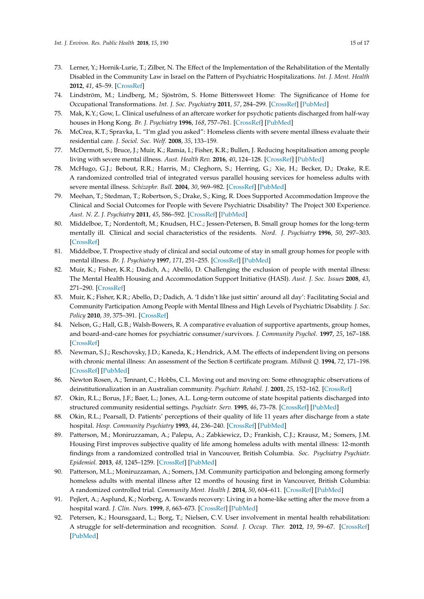- 73. Lerner, Y.; Hornik-Lurie, T.; Zilber, N. The Effect of the Implementation of the Rehabilitation of the Mentally Disabled in the Community Law in Israel on the Pattern of Psychiatric Hospitalizations. *Int. J. Ment. Health* **2012**, *41*, 45–59. [\[CrossRef\]](http://dx.doi.org/10.2753/IMH0020-7411410303)
- 74. Lindström, M.; Lindberg, M.; Sjöström, S. Home Bittersweet Home: The Significance of Home for Occupational Transformations. *Int. J. Soc. Psychiatry* **2011**, *57*, 284–299. [\[CrossRef\]](http://dx.doi.org/10.1177/0020764009354834) [\[PubMed\]](http://www.ncbi.nlm.nih.gov/pubmed/20068023)
- 75. Mak, K.Y.; Gow, L. Clinical usefulness of an aftercare worker for psychotic patients discharged from half-way houses in Hong Kong. *Br. J. Psychiatry* **1996**, *168*, 757–761. [\[CrossRef\]](http://dx.doi.org/10.1192/bjp.168.6.757) [\[PubMed\]](http://www.ncbi.nlm.nih.gov/pubmed/8773820)
- 76. McCrea, K.T.; Spravka, L. "I'm glad you asked": Homeless clients with severe mental illness evaluate their residential care. *J. Sociol. Soc. Welf.* **2008**, *35*, 133–159.
- 77. McDermott, S.; Bruce, J.; Muir, K.; Ramia, I.; Fisher, K.R.; Bullen, J. Reducing hospitalisation among people living with severe mental illness. *Aust. Health Rev.* **2016**, *40*, 124–128. [\[CrossRef\]](http://dx.doi.org/10.1071/AH15073) [\[PubMed\]](http://www.ncbi.nlm.nih.gov/pubmed/26342998)
- 78. McHugo, G.J.; Bebout, R.R.; Harris, M.; Cleghorn, S.; Herring, G.; Xie, H.; Becker, D.; Drake, R.E. A randomized controlled trial of integrated versus parallel housing services for homeless adults with severe mental illness. *Schizophr. Bull.* **2004**, *30*, 969–982. [\[CrossRef\]](http://dx.doi.org/10.1093/oxfordjournals.schbul.a007146) [\[PubMed\]](http://www.ncbi.nlm.nih.gov/pubmed/15957201)
- 79. Meehan, T.; Stedman, T.; Robertson, S.; Drake, S.; King, R. Does Supported Accommodation Improve the Clinical and Social Outcomes for People with Severe Psychiatric Disability? The Project 300 Experience. *Aust. N. Z. J. Psychiatry* **2011**, *45*, 586–592. [\[CrossRef\]](http://dx.doi.org/10.3109/00048674.2011.559634) [\[PubMed\]](http://www.ncbi.nlm.nih.gov/pubmed/21534823)
- 80. Middelboe, T.; Nordentoft, M.; Knudsen, H.C.; Jessen-Petersen, B. Small group homes for the long-term mentally ill. Clinical and social characteristics of the residents. *Nord. J. Psychiatry* **1996**, *50*, 297–303. [\[CrossRef\]](http://dx.doi.org/10.3109/08039489609078170)
- 81. Middelboe, T. Prospective study of clinical and social outcome of stay in small group homes for people with mental illness. *Br. J. Psychiatry* **1997**, *171*, 251–255. [\[CrossRef\]](http://dx.doi.org/10.1192/bjp.171.3.251) [\[PubMed\]](http://www.ncbi.nlm.nih.gov/pubmed/9337979)
- 82. Muir, K.; Fisher, K.R.; Dadich, A.; Abelló, D. Challenging the exclusion of people with mental illness: The Mental Health Housing and Accommodation Support Initiative (HASI). *Aust. J. Soc. Issues* **2008**, *43*, 271–290. [\[CrossRef\]](http://dx.doi.org/10.1002/j.1839-4655.2008.tb00102.x)
- 83. Muir, K.; Fisher, K.R.; Abello, D.; Dadich, A. 'I didn't like just sittin' around all day': Facilitating Social and Community Participation Among People with Mental Illness and High Levels of Psychiatric Disability. *J. Soc. Policy* **2010**, *39*, 375–391. [\[CrossRef\]](http://dx.doi.org/10.1017/S0047279410000073)
- 84. Nelson, G.; Hall, G.B.; Walsh-Bowers, R. A comparative evaluation of supportive apartments, group homes, and board-and-care homes for psychiatric consumer/survivors. *J. Community Psychol.* **1997**, *25*, 167–188. [\[CrossRef\]](http://dx.doi.org/10.1002/(SICI)1520-6629(199703)25:2<167::AID-JCOP6>3.0.CO;2-V)
- 85. Newman, S.J.; Reschovsky, J.D.; Kaneda, K.; Hendrick, A.M. The effects of independent living on persons with chronic mental illness: An assessment of the Section 8 certificate program. *Milbank Q.* **1994**, *72*, 171–198. [\[CrossRef\]](http://dx.doi.org/10.2307/3350343) [\[PubMed\]](http://www.ncbi.nlm.nih.gov/pubmed/8164607)
- 86. Newton Rosen, A.; Tennant, C.; Hobbs, C.L. Moving out and moving on: Some ethnographic observations of deinstitutionalization in an Australian community. *Psychiatr. Rehabil. J.* **2001**, *25*, 152–162. [\[CrossRef\]](http://dx.doi.org/10.1037/h0095030)
- 87. Okin, R.L.; Borus, J.F.; Baer, L.; Jones, A.L. Long-term outcome of state hospital patients discharged into structured community residential settings. *Psychiatr. Serv.* **1995**, *46*, 73–78. [\[CrossRef\]](http://dx.doi.org/10.1176/ps.46.1.73) [\[PubMed\]](http://www.ncbi.nlm.nih.gov/pubmed/7895127)
- 88. Okin, R.L.; Pearsall, D. Patients' perceptions of their quality of life 11 years after discharge from a state hospital. *Hosp. Community Psychiatry* **1993**, *44*, 236–240. [\[CrossRef\]](http://dx.doi.org/10.1176/ps.44.3.236) [\[PubMed\]](http://www.ncbi.nlm.nih.gov/pubmed/8444433)
- 89. Patterson, M.; Moniruzzaman, A.; Palepu, A.; Zabkiewicz, D.; Frankish, C.J.; Krausz, M.; Somers, J.M. Housing First improves subjective quality of life among homeless adults with mental illness: 12-month findings from a randomized controlled trial in Vancouver, British Columbia. *Soc. Psychiatry Psychiatr. Epidemiol.* **2013**, *48*, 1245–1259. [\[CrossRef\]](http://dx.doi.org/10.1007/s00127-013-0719-6) [\[PubMed\]](http://www.ncbi.nlm.nih.gov/pubmed/23748928)
- 90. Patterson, M.L.; Moniruzzaman, A.; Somers, J.M. Community participation and belonging among formerly homeless adults with mental illness after 12 months of housing first in Vancouver, British Columbia: A randomized controlled trial. *Community Ment. Health J.* **2014**, *50*, 604–611. [\[CrossRef\]](http://dx.doi.org/10.1007/s10597-013-9672-9) [\[PubMed\]](http://www.ncbi.nlm.nih.gov/pubmed/24323139)
- 91. Pejlert, A.; Asplund, K.; Norberg, A. Towards recovery: Living in a home-like setting after the move from a hospital ward. *J. Clin. Nurs.* **1999**, *8*, 663–673. [\[CrossRef\]](http://dx.doi.org/10.1046/j.1365-2702.1999.00292.x) [\[PubMed\]](http://www.ncbi.nlm.nih.gov/pubmed/10827612)
- 92. Petersen, K.; Hounsgaard, L.; Borg, T.; Nielsen, C.V. User involvement in mental health rehabilitation: A struggle for self-determination and recognition. *Scand. J. Occup. Ther.* **2012**, *19*, 59–67. [\[CrossRef\]](http://dx.doi.org/10.3109/11038128.2011.556196) [\[PubMed\]](http://www.ncbi.nlm.nih.gov/pubmed/21631174)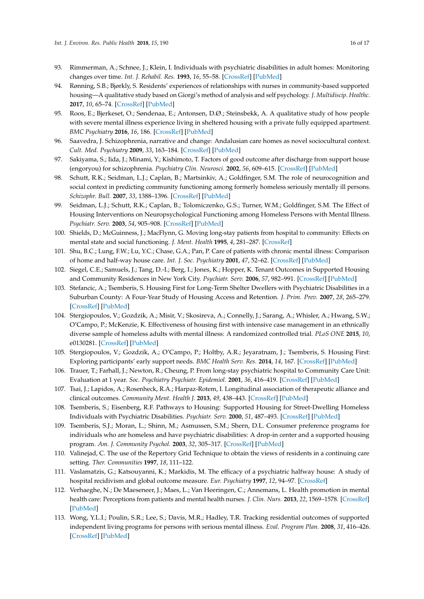- 93. Rimmerman, A.; Schnee, J.; Klein, I. Individuals with psychiatric disabilities in adult homes: Monitoring changes over time. *Int. J. Rehabil. Res.* **1993**, *16*, 55–58. [\[CrossRef\]](http://dx.doi.org/10.1097/00004356-199303000-00008) [\[PubMed\]](http://www.ncbi.nlm.nih.gov/pubmed/8486445)
- 94. Rønning, S.B.; Bjørkly, S. Residents' experiences of relationships with nurses in community-based supported housing—A qualitative study based on Giorgi's method of analysis and self psychology. *J. Multidiscip. Healthc.* **2017**, *10*, 65–74. [\[CrossRef\]](http://dx.doi.org/10.2147/JMDH.S129085) [\[PubMed\]](http://www.ncbi.nlm.nih.gov/pubmed/28280350)
- 95. Roos, E.; Bjerkeset, O.; Søndenaa, E.; Antonsen, D.Ø.; Steinsbekk, A. A qualitative study of how people with severe mental illness experience living in sheltered housing with a private fully equipped apartment. *BMC Psychiatry* **2016**, *16*, 186. [\[CrossRef\]](http://dx.doi.org/10.1186/s12888-016-0888-4) [\[PubMed\]](http://www.ncbi.nlm.nih.gov/pubmed/27267590)
- 96. Saavedra, J. Schizophrenia, narrative and change: Andalusian care homes as novel sociocultural context. *Cult. Med. Psychiatry* **2009**, *33*, 163–184. [\[CrossRef\]](http://dx.doi.org/10.1007/s11013-009-9128-4) [\[PubMed\]](http://www.ncbi.nlm.nih.gov/pubmed/19221869)
- 97. Sakiyama, S.; Iida, J.; Minami, Y.; Kishimoto, T. Factors of good outcome after discharge from support house (engoryou) for schizophrenia. *Psychiatry Clin. Neurosci.* **2002**, *56*, 609–615. [\[CrossRef\]](http://dx.doi.org/10.1046/j.1440-1819.2002.01063.x) [\[PubMed\]](http://www.ncbi.nlm.nih.gov/pubmed/12485302)
- 98. Schutt, R.K.; Seidman, L.J.; Caplan, B.; Martsinkiv, A.; Goldfinger, S.M. The role of neurocognition and social context in predicting community functioning among formerly homeless seriously mentally ill persons. *Schizophr. Bull.* **2007**, *33*, 1388–1396. [\[CrossRef\]](http://dx.doi.org/10.1093/schbul/sbm037) [\[PubMed\]](http://www.ncbi.nlm.nih.gov/pubmed/17483102)
- 99. Seidman, L.J.; Schutt, R.K.; Caplan, B.; Tolomiczenko, G.S.; Turner, W.M.; Goldfinger, S.M. The Effect of Housing Interventions on Neuropsychological Functioning among Homeless Persons with Mental Illness. *Psychiatr. Serv.* **2003**, *54*, 905–908. [\[CrossRef\]](http://dx.doi.org/10.1176/appi.ps.54.6.905) [\[PubMed\]](http://www.ncbi.nlm.nih.gov/pubmed/12773609)
- 100. Shields, D.; McGuinness, J.; MacFlynn, G. Moving long-stay patients from hospital to community: Effects on mental state and social functioning. *J. Ment. Health* **1995**, *4*, 281–287. [\[CrossRef\]](http://dx.doi.org/10.1080/09638239550037569)
- 101. Shu, B.C.; Lung, F.W.; Lu, Y.C.; Chase, G.A.; Pan, P. Care of patients with chronic mental illness: Comparison of home and half-way house care. *Int. J. Soc. Psychiatry* **2001**, *47*, 52–62. [\[CrossRef\]](http://dx.doi.org/10.1177/002076400104700205) [\[PubMed\]](http://www.ncbi.nlm.nih.gov/pubmed/11434411)
- 102. Siegel, C.E.; Samuels, J.; Tang, D.-I.; Berg, I.; Jones, K.; Hopper, K. Tenant Outcomes in Supported Housing and Community Residences in New York City. *Psychiatr. Serv.* **2006**, *57*, 982–991. [\[CrossRef\]](http://dx.doi.org/10.1176/ps.2006.57.7.982) [\[PubMed\]](http://www.ncbi.nlm.nih.gov/pubmed/16816283)
- 103. Stefancic, A.; Tsemberis, S. Housing First for Long-Term Shelter Dwellers with Psychiatric Disabilities in a Suburban County: A Four-Year Study of Housing Access and Retention. *J. Prim. Prev.* **2007**, *28*, 265–279. [\[CrossRef\]](http://dx.doi.org/10.1007/s10935-007-0093-9) [\[PubMed\]](http://www.ncbi.nlm.nih.gov/pubmed/17592778)
- 104. Stergiopoulos, V.; Gozdzik, A.; Misir, V.; Skosireva, A.; Connelly, J.; Sarang, A.; Whisler, A.; Hwang, S.W.; O'Campo, P.; McKenzie, K. Effectiveness of housing first with intensive case management in an ethnically diverse sample of homeless adults with mental illness: A randomized controlled trial. *PLoS ONE* **2015**, *10*, e0130281. [\[CrossRef\]](http://dx.doi.org/10.1371/journal.pone.0130281) [\[PubMed\]](http://www.ncbi.nlm.nih.gov/pubmed/26176621)
- 105. Stergiopoulos, V.; Gozdzik, A.; O'Campo, P.; Holtby, A.R.; Jeyaratnam, J.; Tsemberis, S. Housing First: Exploring participants' early support needs. *BMC Health Serv. Res.* **2014**, *14*, 167. [\[CrossRef\]](http://dx.doi.org/10.1186/1472-6963-14-167) [\[PubMed\]](http://www.ncbi.nlm.nih.gov/pubmed/24725374)
- 106. Trauer, T.; Farhall, J.; Newton, R.; Cheung, P. From long-stay psychiatric hospital to Community Care Unit: Evaluation at 1 year. *Soc. Psychiatry Psychiatr. Epidemiol.* **2001**, *36*, 416–419. [\[CrossRef\]](http://dx.doi.org/10.1007/s001270170032) [\[PubMed\]](http://www.ncbi.nlm.nih.gov/pubmed/11766972)
- 107. Tsai, J.; Lapidos, A.; Rosenheck, R.A.; Harpaz-Rotem, I. Longitudinal association of therapeutic alliance and clinical outcomes. *Community Ment. Health J.* **2013**, *49*, 438–443. [\[CrossRef\]](http://dx.doi.org/10.1007/s10597-012-9518-x) [\[PubMed\]](http://www.ncbi.nlm.nih.gov/pubmed/22820927)
- 108. Tsemberis, S.; Eisenberg, R.F. Pathways to Housing: Supported Housing for Street-Dwelling Homeless Individuals with Psychiatric Disabilities. *Psychiatr. Serv.* **2000**, *51*, 487–493. [\[CrossRef\]](http://dx.doi.org/10.1176/appi.ps.51.4.487) [\[PubMed\]](http://www.ncbi.nlm.nih.gov/pubmed/10737824)
- 109. Tsemberis, S.J.; Moran, L.; Shinn, M.; Asmussen, S.M.; Shern, D.L. Consumer preference programs for individuals who are homeless and have psychiatric disabilities: A drop-in center and a supported housing program. *Am. J. Community Psychol.* **2003**, *32*, 305–317. [\[CrossRef\]](http://dx.doi.org/10.1023/B:AJCP.0000004750.66957.bf) [\[PubMed\]](http://www.ncbi.nlm.nih.gov/pubmed/14703266)
- 110. Valinejad, C. The use of the Repertory Grid Technique to obtain the views of residents in a continuing care setting. *Ther. Communities* **1997**, *18*, 111–122.
- 111. Vaslamatzis, G.; Katsouyanni, K.; Markidis, M. The efficacy of a psychiatric halfway house: A study of hospital recidivism and global outcome measure. *Eur. Psychiatry* **1997**, *12*, 94–97. [\[CrossRef\]](http://dx.doi.org/10.1016/S0924-9338(97)89647-2)
- 112. Verhaeghe, N.; De Maeseneer, J.; Maes, L.; Van Heeringen, C.; Annemans, L. Health promotion in mental health care: Perceptions from patients and mental health nurses. *J. Clin. Nurs.* **2013**, *22*, 1569–1578. [\[CrossRef\]](http://dx.doi.org/10.1111/jocn.12076) [\[PubMed\]](http://www.ncbi.nlm.nih.gov/pubmed/23294398)
- 113. Wong, Y.L.I.; Poulin, S.R.; Lee, S.; Davis, M.R.; Hadley, T.R. Tracking residential outcomes of supported independent living programs for persons with serious mental illness. *Eval. Program Plan.* **2008**, *31*, 416–426. [\[CrossRef\]](http://dx.doi.org/10.1016/j.evalprogplan.2008.07.001) [\[PubMed\]](http://www.ncbi.nlm.nih.gov/pubmed/18762339)